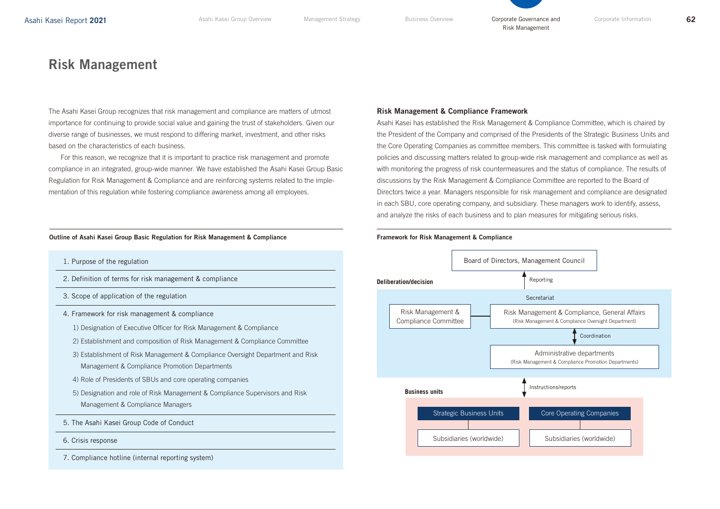# Risk Management

The Asahi Kasei Group recognizes that risk management and compliance are matters of utmost importance for continuing to provide social value and gaining the trust of stakeholders. Given our diverse range of businesses, we must respond to differing market, investment, and other risks based on the characteristics of each business.

For this reason, we recognize that it is important to practice risk management and promote compliance in an integrated, group-wide manner. We have established the Asahi Kasei Group Basic Regulation for Risk Management & Compliance and are reinforcing systems related to the implementation of this regulation while fostering compliance awareness among all employees.

## Outline of Asahi Kasei Group Basic Regulation for Risk Management & Compliance

- 1. Purpose of the regulation
- 2. Definition of terms for risk management & compliance
- 3. Scope of application of the regulation
- 4. Framework for risk management & compliance
	- 1) Designation of Executive Officer for Risk Management & Compliance
	- 2) Establishment and composition of Risk Management & Compliance Committee
	- 3) Establishment of Risk Management & Compliance Oversight Department and Risk Management & Compliance Promotion Departments
	- 4) Role of Presidents of SBUs and core operating companies
	- 5) Designation and role of Risk Management & Compliance Supervisors and Risk Management & Compliance Managers
- 5. The Asahi Kasei Group Code of Conduct
- 6. Crisis response
- 7. Compliance hotline (internal reporting system)

## Risk Management & Compliance Framework

Asahi Kasei has established the Risk Management & Compliance Committee, which is chaired by the President of the Company and comprised of the Presidents of the Strategic Business Units and the Core Operating Companies as committee members. This committee is tasked with formulating policies and discussing matters related to group-wide risk management and compliance as well as with monitoring the progress of risk countermeasures and the status of compliance. The results of discussions by the Risk Management & Compliance Committee are reported to the Board of Directors twice a year. Managers responsible for risk management and compliance are designated in each SBU, core operating company, and subsidiary. These managers work to identify, assess, and analyze the risks of each business and to plan measures for mitigating serious risks.



### Framework for Risk Management & Compliance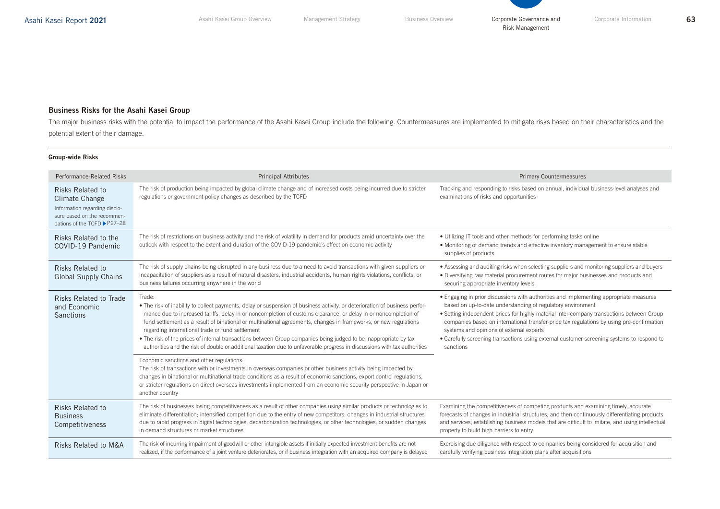

## Business Risks for the Asahi Kasei Group

The major business risks with the potential to impact the performance of the Asahi Kasei Group include the following. Countermeasures are implemented to mitigate risks based on their characteristics and the potential extent of their damage.

## Group-wide Risks

| Performance-Related Risks                                                                                                                 | <b>Principal Attributes</b>                                                                                                                                                                                                                                                                                                                                                                                                                                                                                                                                                                                                                                                        | <b>Primary Countermeasures</b>                                                                                                                                                                                                                                                                                                                                                                                                                                                                         |
|-------------------------------------------------------------------------------------------------------------------------------------------|------------------------------------------------------------------------------------------------------------------------------------------------------------------------------------------------------------------------------------------------------------------------------------------------------------------------------------------------------------------------------------------------------------------------------------------------------------------------------------------------------------------------------------------------------------------------------------------------------------------------------------------------------------------------------------|--------------------------------------------------------------------------------------------------------------------------------------------------------------------------------------------------------------------------------------------------------------------------------------------------------------------------------------------------------------------------------------------------------------------------------------------------------------------------------------------------------|
| <b>Risks Related to</b><br>Climate Change<br>Information regarding disclo-<br>sure based on the recommen-<br>dations of the TCFD ▶ P27-28 | The risk of production being impacted by global climate change and of increased costs being incurred due to stricter<br>regulations or government policy changes as described by the TCFD                                                                                                                                                                                                                                                                                                                                                                                                                                                                                          | Tracking and responding to risks based on annual, individual business-level analyses and<br>examinations of risks and opportunities                                                                                                                                                                                                                                                                                                                                                                    |
| Risks Related to the<br>COVID-19 Pandemic                                                                                                 | The risk of restrictions on business activity and the risk of volatility in demand for products amid uncertainty over the<br>outlook with respect to the extent and duration of the COVID-19 pandemic's effect on economic activity                                                                                                                                                                                                                                                                                                                                                                                                                                                | • Utilizing IT tools and other methods for performing tasks online<br>• Monitoring of demand trends and effective inventory management to ensure stable<br>supplies of products                                                                                                                                                                                                                                                                                                                        |
| Risks Related to<br><b>Global Supply Chains</b>                                                                                           | The risk of supply chains being disrupted in any business due to a need to avoid transactions with given suppliers or<br>incapacitation of suppliers as a result of natural disasters, industrial accidents, human rights violations, conflicts, or<br>business failures occurring anywhere in the world                                                                                                                                                                                                                                                                                                                                                                           | • Assessing and auditing risks when selecting suppliers and monitoring suppliers and buyers<br>• Diversifying raw material procurement routes for major businesses and products and<br>securing appropriate inventory levels                                                                                                                                                                                                                                                                           |
| Risks Related to Trade<br>and Economic<br><b>Sanctions</b>                                                                                | Trade:<br>• The risk of inability to collect payments, delay or suspension of business activity, or deterioration of business perfor-<br>mance due to increased tariffs, delay in or noncompletion of customs clearance, or delay in or noncompletion of<br>fund settlement as a result of binational or multinational agreements, changes in frameworks, or new regulations<br>regarding international trade or fund settlement<br>• The risk of the prices of internal transactions between Group companies being judged to be inappropriate by tax<br>authorities and the risk of double or additional taxation due to unfavorable progress in discussions with tax authorities | • Engaging in prior discussions with authorities and implementing appropriate measures<br>based on up-to-date understanding of regulatory environment<br>• Setting independent prices for highly material inter-company transactions between Group<br>companies based on international transfer-price tax regulations by using pre-confirmation<br>systems and opinions of external experts<br>• Carefully screening transactions using external customer screening systems to respond to<br>sanctions |
|                                                                                                                                           | Economic sanctions and other regulations:<br>The risk of transactions with or investments in overseas companies or other business activity being impacted by<br>changes in binational or multinational trade conditions as a result of economic sanctions, export control regulations,<br>or stricter regulations on direct overseas investments implemented from an economic security perspective in Japan or<br>another country                                                                                                                                                                                                                                                  |                                                                                                                                                                                                                                                                                                                                                                                                                                                                                                        |
| <b>Risks Related to</b><br><b>Business</b><br>Competitiveness                                                                             | The risk of businesses losing competitiveness as a result of other companies using similar products or technologies to<br>eliminate differentiation; intensified competition due to the entry of new competitors; changes in industrial structures<br>due to rapid progress in digital technologies, decarbonization technologies, or other technologies, or sudden changes<br>in demand structures or market structures                                                                                                                                                                                                                                                           | Examining the competitiveness of competing products and examining timely, accurate<br>forecasts of changes in industrial structures, and then continuously differentiating products<br>and services, establishing business models that are difficult to imitate, and using intellectual<br>property to build high barriers to entry                                                                                                                                                                    |
| <b>Risks Related to M&amp;A</b>                                                                                                           | The risk of incurring impairment of goodwill or other intangible assets if initially expected investment benefits are not<br>realized, if the performance of a joint venture deteriorates, or if business integration with an acquired company is delayed                                                                                                                                                                                                                                                                                                                                                                                                                          | Exercising due diligence with respect to companies being considered for acquisition and<br>carefully verifying business integration plans after acquisitions                                                                                                                                                                                                                                                                                                                                           |